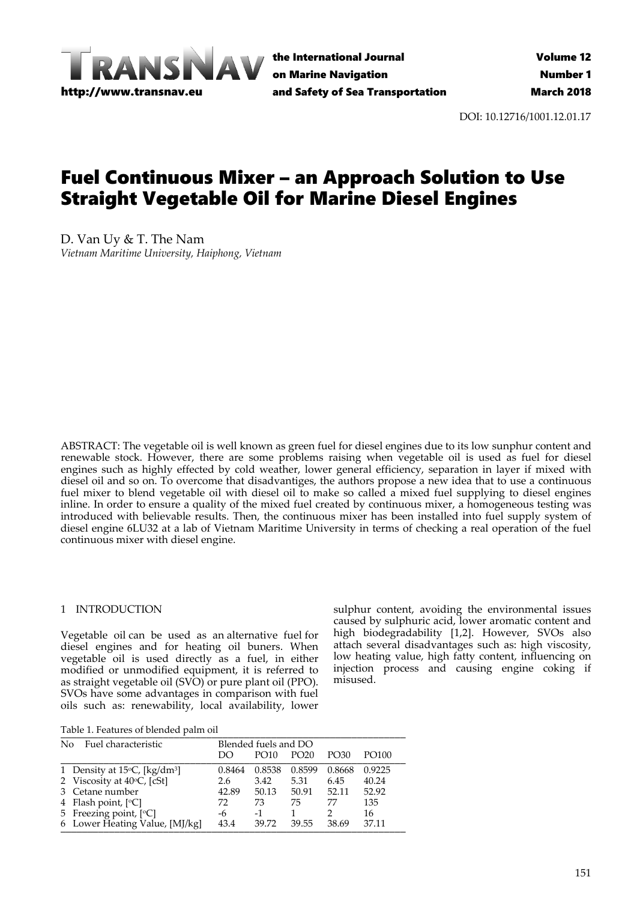

the International Journal on Marine Navigation and Safety of Sea Transportation

DOI: 10.12716/1001.12.01.17

# Fuel Continuous Mixer – an Approach Solution to Use Straight Vegetable Oil for Marine Diesel Engines

D. Van Uy & T. The Nam *Vietnam Maritime University, Haiphong, Vietnam*

ABSTRACT: The vegetable oil is well known as green fuel for diesel engines due to its low sunphur content and renewable stock. However, there are some problems raising when vegetable oil is used as fuel for diesel engines such as highly effected by cold weather, lower general efficiency, separation in layer if mixed with diesel oil and so on. To overcome that disadvantiges, the authors propose a new idea that to use a continuous fuel mixer to blend vegetable oil with diesel oil to make so called a mixed fuel supplying to diesel engines inline. In order to ensure a quality of the mixed fuel created by continuous mixer, a homogeneous testing was introduced with believable results. Then, the continuous mixer has been installed into fuel supply system of diesel engine 6LU32 at a lab of Vietnam Maritime University in terms of checking a real operation of the fuel continuous mixer with diesel engine.

## 1 INTRODUCTION

Vegetable oil can be used as an alternative fuel for diesel engines and for heating oil buners. When vegetable oil is used directly as a fuel, in either modified or unmodified equipment, it is referred to as straight vegetable oil (SVO) or pure plant oil (PPO). SVOs have some advantages in comparison with fuel oils such as: renewability, local availability, lower

sulphur content, avoiding the environmental issues caused by sulphuric acid, lower aromatic content and high biodegradability [1,2]. However, SVOs also attach several disadvantages such as: high viscosity, low heating value, high fatty content, influencing on injection process and causing engine coking if misused.

Table 1. Features of blended palm oil

| No. | Fuel characteristic                                |        | Blended fuels and DO |                  |        |        |  |
|-----|----------------------------------------------------|--------|----------------------|------------------|--------|--------|--|
|     |                                                    | DO     | PO10                 | PO <sub>20</sub> | PO30   | PO100  |  |
|     | 1 Density at $15^{\circ}$ C, [kg/dm <sup>3</sup> ] | 0.8464 | 0.8538               | 0.8599           | 0.8668 | 0.9225 |  |
|     | 2 Viscosity at $40^{\circ}$ C, [cSt]               | 2.6    | 3.42                 | 5.31             | 6.45   | 40.24  |  |
|     | 3 Cetane number                                    | 42.89  | 50.13                | 50.91            | 52.11  | 52.92  |  |
|     | 4 Flash point, $[°C]$                              | 72     | 73                   | 75               | 77     | 135    |  |
|     | 5 Freezing point, [°C]                             | -6     | $-1$                 |                  |        | 16     |  |
|     | 6 Lower Heating Value, [MJ/kg]                     | 43.4   | 39.72                | 39.55            | 38.69  | 37.11  |  |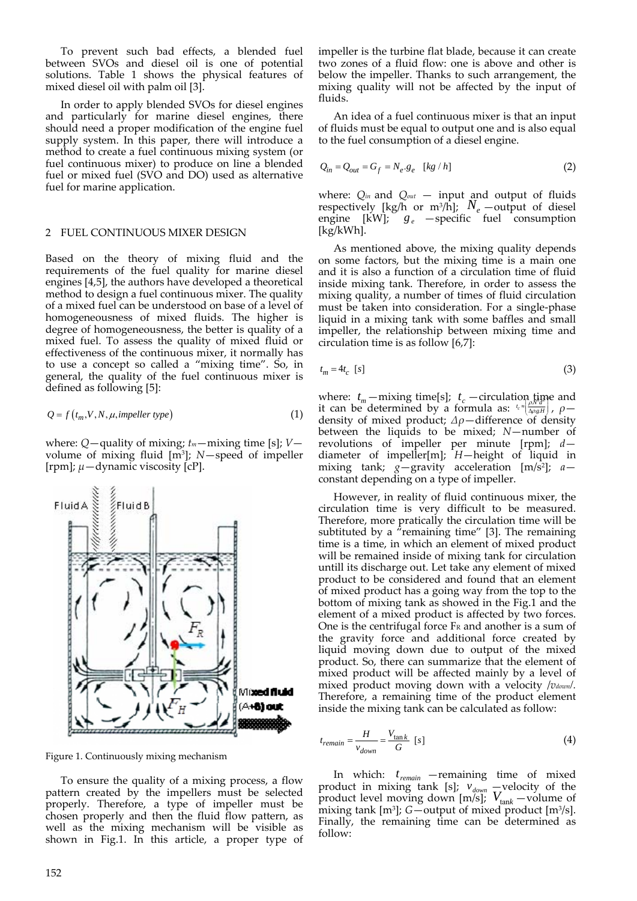To prevent such bad effects, a blended fuel between SVOs and diesel oil is one of potential solutions. Table 1 shows the physical features of mixed diesel oil with palm oil [3].

In order to apply blended SVOs for diesel engines and particularly for marine diesel engines, there should need a proper modification of the engine fuel supply system. In this paper, there will introduce a method to create a fuel continuous mixing system (or fuel continuous mixer) to produce on line a blended fuel or mixed fuel (SVO and DO) used as alternative fuel for marine application.

#### 2 FUEL CONTINUOUS MIXER DESIGN

Based on the theory of mixing fluid and the requirements of the fuel quality for marine diesel engines [4,5], the authors have developed a theoretical method to design a fuel continuous mixer. The quality of a mixed fuel can be understood on base of a level of homogeneousness of mixed fluids. The higher is degree of homogeneousness, the better is quality of a mixed fuel. To assess the quality of mixed fluid or effectiveness of the continuous mixer, it normally has to use a concept so called a "mixing time". So, in general, the quality of the fuel continuous mixer is defined as following [5]:

$$
Q = f(t_m, V, N, \mu, \text{impeller type})
$$
\n<sup>(1)</sup>

where: *Q*—quality of mixing; *tm*—mixing time [s]; *V* volume of mixing fluid [m3]; *N*—speed of impeller [rpm]; *μ*—dynamic viscosity [cP].



Figure 1. Continuously mixing mechanism

To ensure the quality of a mixing process, a flow pattern created by the impellers must be selected properly. Therefore, a type of impeller must be chosen properly and then the fluid flow pattern, as well as the mixing mechanism will be visible as shown in Fig.1. In this article, a proper type of impeller is the turbine flat blade, because it can create two zones of a fluid flow: one is above and other is below the impeller. Thanks to such arrangement, the mixing quality will not be affected by the input of fluids.

An idea of a fuel continuous mixer is that an input of fluids must be equal to output one and is also equal to the fuel consumption of a diesel engine.

$$
Q_{in} = Q_{out} = G_f = N_e \cdot g_e \quad [kg/h]
$$
 (2)

where: *Qin* and *Qout* — input and output of fluids respectively [kg/h or m<sup>3</sup>/h];  $N_e$  —output of diesel engine  $[kW]$ ;  $g_e$  —specific fuel consumption [kg/kWh].

As mentioned above, the mixing quality depends on some factors, but the mixing time is a main one and it is also a function of a circulation time of fluid inside mixing tank. Therefore, in order to assess the mixing quality, a number of times of fluid circulation must be taken into consideration. For a single‐phase liquid in a mixing tank with some baffles and small impeller, the relationship between mixing time and circulation time is as follow [6,7]:

$$
t_m = 4t_c \quad [s] \tag{3}
$$

where:  $t_m$  —mixing time[s];  $t_c$  —circulation time and it can be determined by a formula as:  $\frac{k}{2} \left( \frac{N}{\Delta \rho g H} \right)$ ,  $\rho$ density of mixed product; *Δρ*—difference of density between the liquids to be mixed; *N*—number of revolutions of impeller per minute [rpm]; *d* diameter of impeller[m]; *H*—height of liquid in mixing tank; *g*—gravity acceleration [m/s2]; *a* constant depending on a type of impeller.

However, in reality of fluid continuous mixer, the circulation time is very difficult to be measured. Therefore, more pratically the circulation time will be subtituted by a  $\pi$ <sup>\*</sup>remaining time" [3]. The remaining time is a time, in which an element of mixed product will be remained inside of mixing tank for circulation untill its discharge out. Let take any element of mixed product to be considered and found that an element of mixed product has a going way from the top to the bottom of mixing tank as showed in the Fig.1 and the element of a mixed product is affected by two forces. One is the centrifugal force  $F_R$  and another is a sum of the gravity force and additional force created by liquid moving down due to output of the mixed product. So, there can summarize that the element of mixed product will be affected mainly by a level of mixed product moving down with a velocity /*vdown/.* Therefore, a remaining time of the product element inside the mixing tank can be calculated as follow:

$$
t_{remain} = \frac{H}{v_{down}} = \frac{V_{\text{tan}k}}{G} \quad [s] \tag{4}
$$

In which:  $t_{\text{remain}}$  —remaining time of mixed product in mixing tank [s];  $v_{down}$  –velocity of the product level moving down  $[m/s]$ ;  $V_{\text{tan}k}$  —volume of mixing tank [m3]; *G*—output of mixed product [m3/s]. Finally, the remaining time can be determined as follow: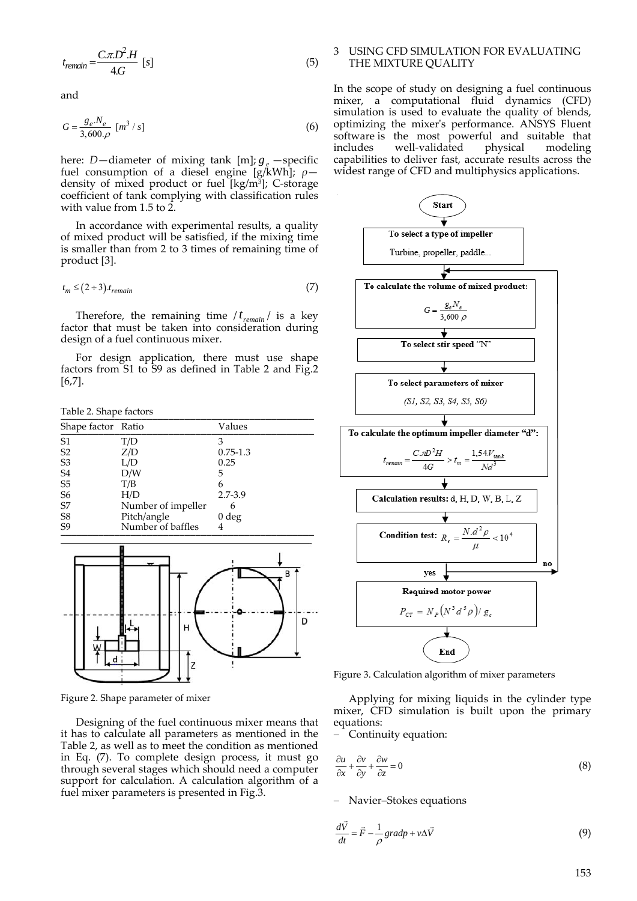$$
t_{remain} = \frac{C.\pi.D^2.H}{4.G} [s]
$$
 (5)

and

$$
G = \frac{g_e N_e}{3,600 \cdot \rho} \left[ m^3 / s \right] \tag{6}
$$

here: *D*—diameter of mixing tank [m];  $g_e$  —specific fuel consumption of a diesel engine [g/kWh]; *ρ* density of mixed product or fuel [kg/m<sup>3</sup>]; C-storage coefficient of tank complying with classification rules with value from 1.5 to 2.

In accordance with experimental results, a quality of mixed product will be satisfied, if the mixing time is smaller than from 2 to 3 times of remaining time of product [3].

$$
t_m \le (2 \div 3) . t_{remain} \tag{7}
$$

Therefore, the remaining time  $/t_{remain}$  is a key factor that must be taken into consideration during design of a fuel continuous mixer.

For design application, there must use shape factors from S1 to S9 as defined in Table 2 and Fig.2 [6,7].

Table 2. Shape factors \_\_\_\_\_\_\_\_\_\_\_\_\_\_\_\_\_\_\_\_\_\_\_\_\_\_\_\_\_\_\_\_\_\_\_\_\_\_\_\_\_\_\_\_\_\_\_

| Shape factor Ratio |                    | Values           |
|--------------------|--------------------|------------------|
| S <sub>1</sub>     | T/D                | 3                |
| S <sub>2</sub>     | Z/D                | $0.75 - 1.3$     |
| S <sub>3</sub>     | L/D                | 0.25             |
| S <sub>4</sub>     | D/W                | 5                |
| $S5\,$             | T/B                | 6                |
| S <sub>6</sub>     | H/D                | 2.7-3.9          |
| S7                 | Number of impeller | 6                |
| S <sub>8</sub>     | Pitch/angle        | 0 <sub>deg</sub> |
| S <sub>9</sub>     | Number of baffles  | 4                |



Figure 2. Shape parameter of mixer

Designing of the fuel continuous mixer means that it has to calculate all parameters as mentioned in the Table 2, as well as to meet the condition as mentioned in Eq. (7). To complete design process, it must go through several stages which should need a computer support for calculation. A calculation algorithm of a fuel mixer parameters is presented in Fig.3.

### 3 USING CFD SIMULATION FOR EVALUATING THE MIXTURE QUALITY

In the scope of study on designing a fuel continuous mixer, a computational fluid dynamics (CFD) simulation is used to evaluate the quality of blends, optimizing the mixerʹs performance. ANSYS Fluent software is the most powerful and suitable that includes well-validated physical modeling well-validated physical modeling capabilities to deliver fast, accurate results across the widest range of CFD and multiphysics applications.



Figure 3. Calculation algorithm of mixer parameters

Applying for mixing liquids in the cylinder type mixer, CFD simulation is built upon the primary equations:

 $-$  Continuity equation:

$$
\frac{\partial u}{\partial x} + \frac{\partial v}{\partial y} + \frac{\partial w}{\partial z} = 0
$$
 (8)

- Navier-Stokes equations

$$
\frac{d\vec{V}}{dt} = \vec{F} - \frac{1}{\rho} gradp + v\Delta\vec{V}
$$
\n(9)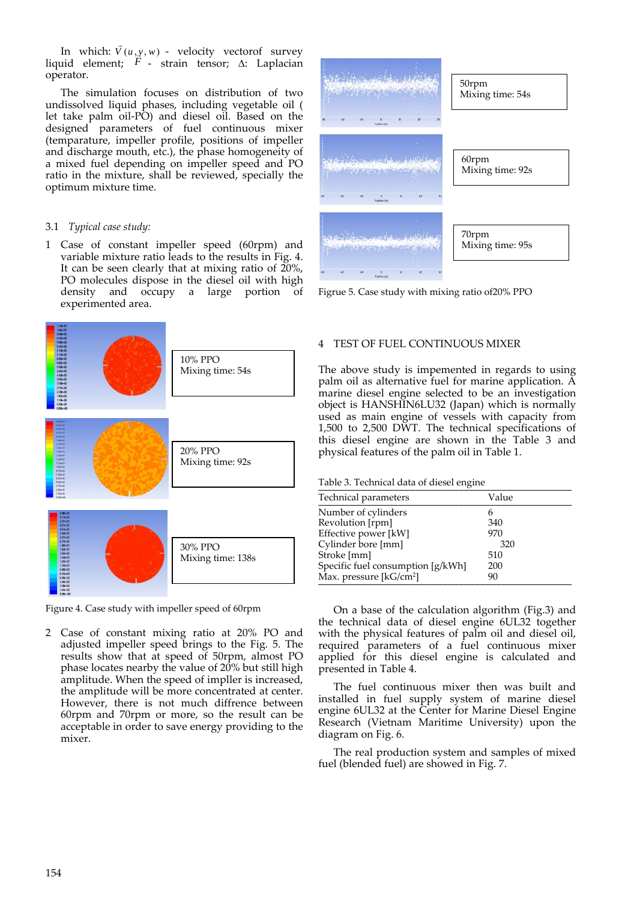In which:  $\vec{V}(u, y, w)$  - velocity vectorof survey liquid element; F - strain tensor;  $\Delta$ : Laplacian operator.

The simulation focuses on distribution of two undissolved liquid phases, including vegetable oil ( let take palm oil‐PO) and diesel oil. Based on the designed parameters of fuel continuous mixer (temparature, impeller profile, positions of impeller and discharge mouth, etc.), the phase homogeneity of a mixed fuel depending on impeller speed and PO ratio in the mixture, shall be reviewed, specially the optimum mixture time.

## 3.1 *Typical case study:*

1 Case of constant impeller speed (60rpm) and variable mixture ratio leads to the results in Fig. 4. It can be seen clearly that at mixing ratio of 20%, PO molecules dispose in the diesel oil with high density and occupy a large portion of experimented area.



Figure 4. Case study with impeller speed of 60rpm

2 Case of constant mixing ratio at 20% PO and adjusted impeller speed brings to the Fig. 5. The results show that at speed of 50rpm, almost PO phase locates nearby the value of 20% but still high amplitude. When the speed of impller is increased, the amplitude will be more concentrated at center. However, there is not much diffrence between 60rpm and 70rpm or more, so the result can be acceptable in order to save energy providing to the mixer.



Figrue 5. Case study with mixing ratio of20% PPO

## 4 TEST OF FUEL CONTINUOUS MIXER

The above study is impemented in regards to using palm oil as alternative fuel for marine application. A marine diesel engine selected to be an investigation object is HANSHIN6LU32 (Japan) which is normally used as main engine of vessels with capacity from 1,500 to 2,500 DWT. The technical specifications of this diesel engine are shown in the Table 3 and physical features of the palm oil in Table 1.

Table 3. Technical data of diesel engine

| Technical parameters                | Value |
|-------------------------------------|-------|
| Number of cylinders                 | 6     |
| Revolution [rpm]                    | 340   |
| Effective power [kW]                | 970   |
| Cylinder bore [mm]                  | 320   |
| Stroke [mm]                         | 510   |
| Specific fuel consumption [g/kWh]   | 200   |
| Max. pressure [kG/cm <sup>2</sup> ] | 90    |
|                                     |       |

On a base of the calculation algorithm (Fig.3) and the technical data of diesel engine 6UL32 together with the physical features of palm oil and diesel oil, required parameters of a fuel continuous mixer applied for this diesel engine is calculated and presented in Table 4.

The fuel continuous mixer then was built and installed in fuel supply system of marine diesel engine 6UL32 at the Center for Marine Diesel Engine Research (Vietnam Maritime University) upon the diagram on Fig. 6.

The real production system and samples of mixed fuel (blended fuel) are showed in Fig. 7.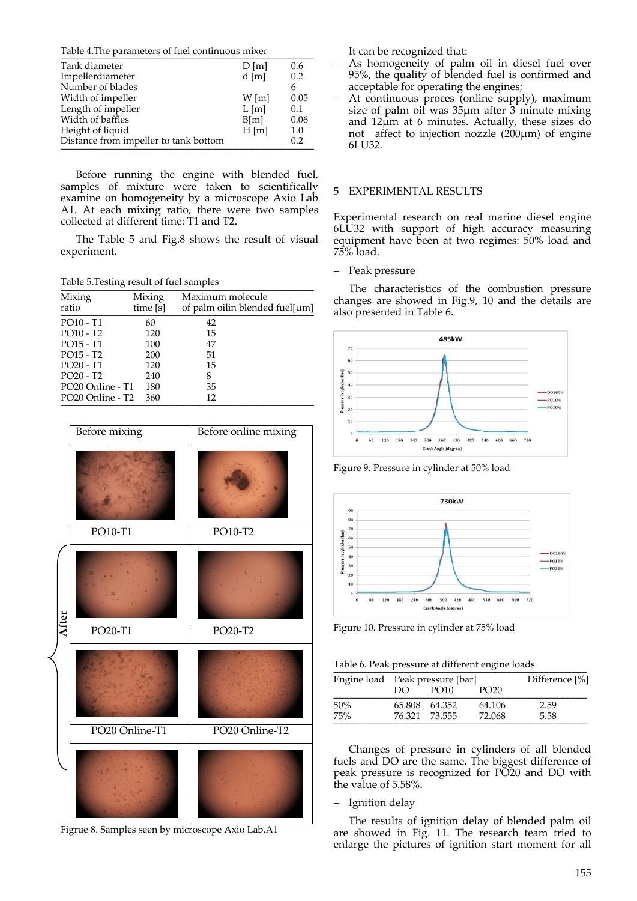Table 4. The parameters of fuel continuous mixer

| Tank diameter                         | D[m]    | 0.6  |
|---------------------------------------|---------|------|
| Impellerdiameter                      | $d$ [m] | 0.2  |
| Number of blades                      |         | 6.   |
| Width of impeller                     | $W$ [m] | 0.05 |
| Length of impeller                    | L[m]    | 0.1  |
| Width of baffles                      | B[m]    | 0.06 |
| Height of liquid                      | $H$ [m] | 1.0  |
| Distance from impeller to tank bottom |         | 0.2  |
|                                       |         |      |

Before running the engine with blended fuel, samples of mixture were taken to scientifically examine on homogeneity by a microscope Axio Lab A1. At each mixing ratio, there were two samples collected at different time: T1 and T2.

The Table 5 and Fig.8 shows the result of visual experiment.

Table 5.Testing result of fuel samples \_\_\_\_\_\_\_\_\_\_\_\_\_\_\_\_\_\_\_\_\_\_\_\_\_\_\_\_\_\_\_\_\_\_\_\_\_\_\_\_\_\_\_\_\_\_\_

| Mixing<br>ratio                          | Mixing<br>time [s] | Maximum molecule<br>of palm oilin blended fuel $[\mu m]$ |
|------------------------------------------|--------------------|----------------------------------------------------------|
| PO10 - T1                                | 60                 | 42                                                       |
| PO10 - T2                                | 120                | 15                                                       |
| PO15 - T1                                | 100                | 47                                                       |
| PO15 - T2                                | 200                | 51                                                       |
| PO20 - T1                                | 120                | 15                                                       |
| $PO20 - T2$                              | 240                | 8                                                        |
| PO <sub>20</sub> Online - T <sub>1</sub> | 180                | 35                                                       |
| PO <sub>20</sub> Online - T <sub>2</sub> | 360                | 12                                                       |



Figrue 8. Samples seen by microscope Axio Lab.A1

It can be recognized that:

- As homogeneity of palm oil in diesel fuel over 95%, the quality of blended fuel is confirmed and acceptable for operating the engines;
- At continuous proces (online supply), maximum size of palm oil was 35μm after 3 minute mixing and 12μm at 6 minutes. Actually, these sizes do not affect to injection nozzle  $(200 \mu m)$  of engine 6LU32.

#### 5 EXPERIMENTAL RESULTS

Experimental research on real marine diesel engine 6LU32 with support of high accuracy measuring equipment have been at two regimes: 50% load and 75% load.

- Peak pressure

The characteristics of the combustion pressure changes are showed in Fig.9, 10 and the details are also presented in Table 6.



Figure 9. Pressure in cylinder at 50% load



Figure 10. Pressure in cylinder at 75% load

Table 6. Peak pressure at different engine loads

|     | Engine load Peak pressure [bar] |                  |                  | Difference [%] |
|-----|---------------------------------|------------------|------------------|----------------|
|     | DO.                             | PO <sub>10</sub> | PO <sub>20</sub> |                |
| 50% |                                 | 65.808 64.352    | 64.106           | 2.59           |
| 75% |                                 | 76.321 73.555    | 72.068           | 5.58           |

Changes of pressure in cylinders of all blended fuels and DO are the same. The biggest difference of peak pressure is recognized for PO20 and DO with the value of 5.58%.

#### - Ignition delay

The results of ignition delay of blended palm oil are showed in Fig. 11. The research team tried to enlarge the pictures of ignition start moment for all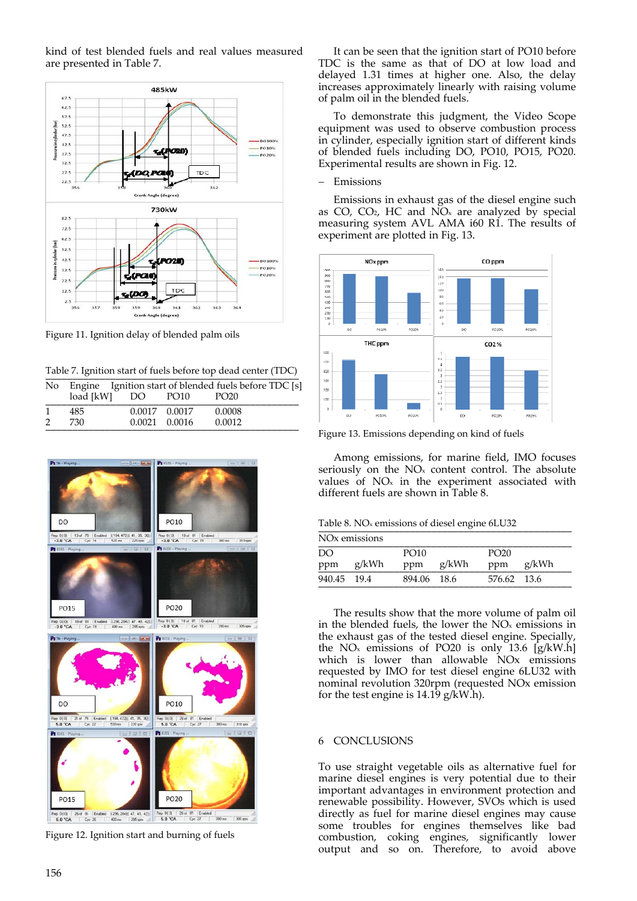kind of test blended fuels and real values measured are presented in Table 7.



Figure 11. Ignition delay of blended palm oils

|  | Table 7. Ignition start of fuels before top dead center (TDC) |  |  |  |
|--|---------------------------------------------------------------|--|--|--|
|--|---------------------------------------------------------------|--|--|--|

| No. |           |    |                   | Engine Ignition start of blended fuels before TDC [s] |
|-----|-----------|----|-------------------|-------------------------------------------------------|
|     | load [kW] | DO | PO10              | PO <sub>20</sub>                                      |
|     | 485       |    | 0.0017 0.0017     | 0.0008                                                |
|     | 730       |    | $0.0021$ $0.0016$ | 0.0012                                                |



Figure 12. Ignition start and burning of fuels

It can be seen that the ignition start of PO10 before TDC is the same as that of DO at low load and delayed 1.31 times at higher one. Also, the delay increases approximately linearly with raising volume of palm oil in the blended fuels.

To demonstrate this judgment, the Video Scope equipment was used to observe combustion process in cylinder, especially ignition start of different kinds of blended fuels including DO, PO10, PO15, PO20. Experimental results are shown in Fig. 12.

#### Emissions

Emissions in exhaust gas of the diesel engine such as  $CO$ ,  $CO<sub>2</sub>$ , HC and  $NO<sub>x</sub>$  are analyzed by special measuring system AVL AMA i60 R1. The results of experiment are plotted in Fig. 13.



Figure 13. Emissions depending on kind of fuels

Among emissions, for marine field, IMO focuses seriously on the  $NO<sub>x</sub>$  content control. The absolute values of  $NO<sub>x</sub>$  in the experiment associated with different fuels are shown in Table 8.

Table 8. NO<sub>x</sub> emissions of diesel engine 6LU32

| NO <sub>x</sub> emissions |       |             |           |                  |           |  |  |
|---------------------------|-------|-------------|-----------|------------------|-----------|--|--|
| DO<br>ppm                 | g/kWh | PO10        | ppm g/kWh | PO <sub>20</sub> | ppm g/kWh |  |  |
| 940.45 19.4               |       | 894.06 18.6 |           | 576.62 13.6      |           |  |  |

The results show that the more volume of palm oil in the blended fuels, the lower the NOx emissions in the exhaust gas of the tested diesel engine. Specially, the NO<sub>x</sub> emissions of PO20 is only 13.6  $[g/kW.h]$ which is lower than allowable NOx emissions requested by IMO for test diesel engine 6LU32 with nominal revolution 320rpm (requested NOx emission for the test engine is 14.19 g/kW.h).

## 6 CONCLUSIONS

To use straight vegetable oils as alternative fuel for marine diesel engines is very potential due to their important advantages in environment protection and renewable possibility. However, SVOs which is used directly as fuel for marine diesel engines may cause some troubles for engines themselves like bad combustion, coking engines, significantly lower output and so on. Therefore, to avoid above